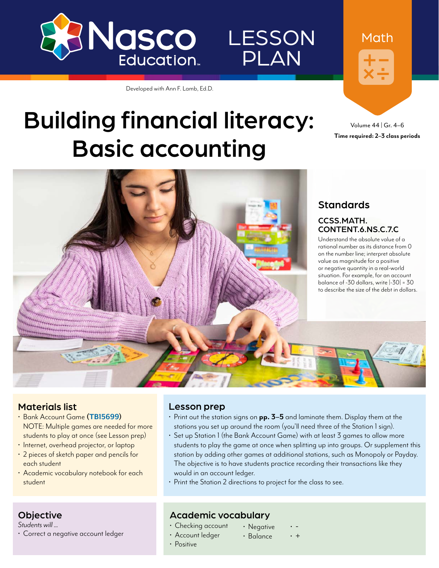

### **LESSON** PLAN

Developed with Ann F. Lamb, Ed.D.

### Building financial literacy: Basic accounting

Volume 44 | Gr. 4–6 **Time required: 2–3 class periods**

Math



#### **Standards**

#### CCSS.MATH. CONTENT.6.NS.C.7.C

Understand the absolute value of a rational number as its distance from 0 on the number line; interpret absolute value as magnitude for a positive or negative quantity in a real-world situation. For example, for an account balance of -30 dollars, write |-30| = 30 to describe the size of the debt in dollars.

#### Materials list

**Objective** *Students will ...*

- Bank Account Game **([TB15699\)](https://www.enasco.com/p/TB15699)** NOTE: Multiple games are needed for more students to play at once (see Lesson prep)
- Internet, overhead projector, or laptop
- 2 pieces of sketch paper and pencils for each student
- Academic vocabulary notebook for each student

• Correct a negative account ledger

#### Lesson prep

- Print out the station signs on **pp. 3–5** and laminate them. Display them at the stations you set up around the room (you'll need three of the Station 1 sign).
- Set up Station 1 (the Bank Account Game) with at least 3 games to allow more students to play the game at once when splitting up into groups. Or supplement this station by adding other games at additional stations, such as Monopoly or Payday. The objective is to have students practice recording their transactions like they would in an account ledger.
- Print the Station 2 directions to project for the class to see.

#### Academic vocabulary

- Checking account • Account ledger
- Negative • . .<br>. +
	-
- Positive

#### • Balance

- 
-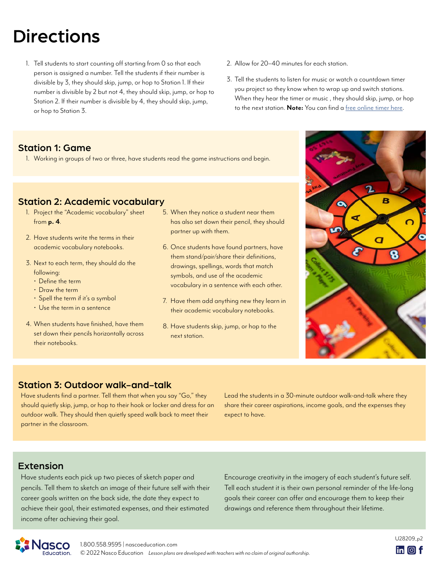### **Directions**

- 1. Tell students to start counting off starting from 0 so that each person is assigned a number. Tell the students if their number is divisible by 3, they should skip, jump, or hop to Station 1. If their number is divisible by 2 but not 4, they should skip, jump, or hop to Station 2. If their number is divisible by 4, they should skip, jump, or hop to Station 3.
- 2. Allow for 20–40 minutes for each station.
- 3. Tell the students to listen for music or watch a countdown timer you project so they know when to wrap up and switch stations. When they hear the timer or music , they should skip, jump, or hop to the next station. **Note:** You can find a [free online timer here.](https://www.google.com/search?q=countdown+timer&oq=countdown&aqs=chrome.0.0i433i512j69i57j0i433i512l3j0i512l2j0i433i512j46i131i433i512j0i512.3223j0j7&sourceid=chrome&ie=UTF-8)

#### Station 1: Game

1. Working in groups of two or three, have students read the game instructions and begin.

#### Station 2: Academic vocabulary

- 1. Project the "Academic vocabulary" sheet from **p. 4**.
- 2. Have students write the terms in their academic vocabulary notebooks.
- 3. Next to each term, they should do the following:
	- Define the term
	- Draw the term
	- Spell the term if it's a symbol
	- Use the term in a sentence
- 4. When students have finished, have them set down their pencils horizontally across their notebooks.
- 5. When they notice a student near them has also set down their pencil, they should partner up with them.
- 6. Once students have found partners, have them stand/pair/share their definitions, drawings, spellings, words that match symbols, and use of the academic vocabulary in a sentence with each other.
- 7. Have them add anything new they learn in their academic vocabulary notebooks.
- 8. Have students skip, jump, or hop to the next station.



#### Station 3: Outdoor walk-and-talk

Have students find a partner. Tell them that when you say "Go," they should quietly skip, jump, or hop to their hook or locker and dress for an outdoor walk. They should then quietly speed walk back to meet their partner in the classroom.

Lead the students in a 30-minute outdoor walk-and-talk where they share their career aspirations, income goals, and the expenses they expect to have.

#### Extension

Have students each pick up two pieces of sketch paper and pencils. Tell them to sketch an image of their future self with their career goals written on the back side, the date they expect to achieve their goal, their estimated expenses, and their estimated income after achieving their goal.

Encourage creativity in the imagery of each student's future self. Tell each student it is their own personal reminder of the life-long goals their career can offer and encourage them to keep their drawings and reference them throughout their lifetime.

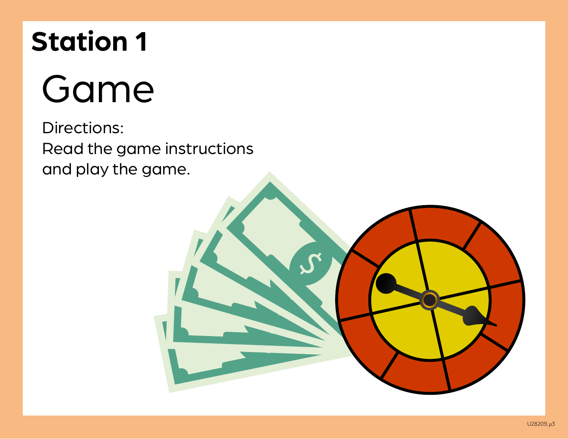## **Station 1**

# Game

Directions: Read the game instructions and play the game.

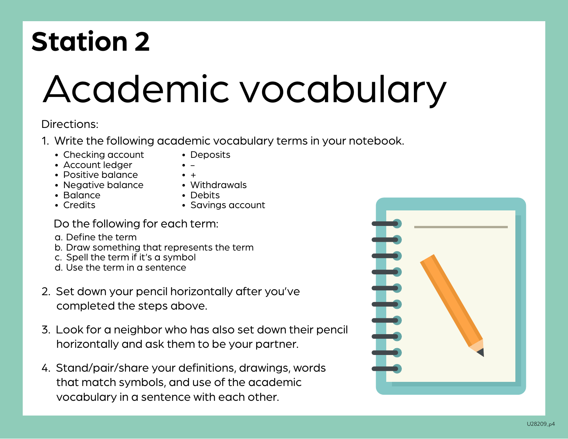## **Station 2**

# Academic vocabulary

#### Directions:

- 1. Write the following academic vocabulary terms in your notebook.
	- Checking account
- Deposits  $\bullet$  -

• +

- Account ledger
- Positive balance
- Negative balance • Balance
- Withdrawals • Debits

• Credits

• Savings account

#### Do the following for each term:

- a. Define the term
- b. Draw something that represents the term
- c. Spell the term if it's a symbol
- d. Use the term in a sentence
- 2. Set down your pencil horizontally after you've completed the steps above.
- 3. Look for a neighbor who has also set down their pencil horizontally and ask them to be your partner.
- 4. Stand/pair/share your definitions, drawings, words that match symbols, and use of the academic vocabulary in a sentence with each other.